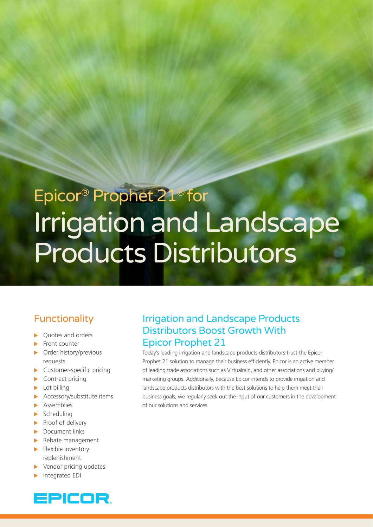# Epicor® Prophet 21® for Irrigation and Landscape Products Distributors

# **Functionality**

- Quotes and orders
- Front counter
- Order history/previous requests
- $\blacktriangleright$  Customer-specific pricing
- $\blacktriangleright$  Contract pricing
- Lot billing
- $\blacktriangleright$  Accessory/substitute items
- $\blacktriangleright$  Assemblies
- $\blacktriangleright$  Scheduling
- $\blacktriangleright$  Proof of delivery
- $\blacktriangleright$  Document links
- $\blacktriangleright$  Rebate management
- $\blacktriangleright$  Flexible inventory replenishment
- $\blacktriangleright$  Vendor pricing updates
- Integrated EDI



# Irrigation and Landscape Products Distributors Boost Growth With Epicor Prophet 21

Today's leading irrigation and landscape products distributors trust the Epicor Prophet 21 solution to manage their business efficiently. Epicor is an active member of leading trade associations such as Virtualrain, and other associations and buying/ marketing groups. Additionally, because Epicor intends to provide irrigation and landscape products distributors with the best solutions to help them meet their business goals, we regularly seek out the input of our customers in the development of our solutions and services.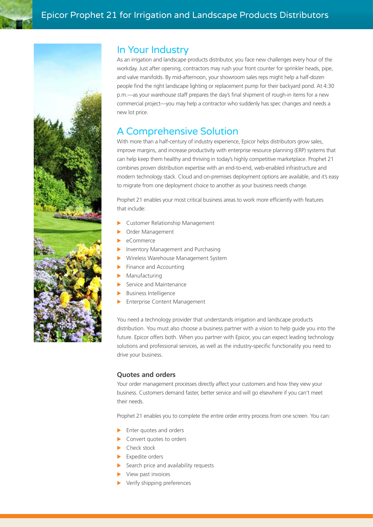

# In Your Industry

As an irrigation and landscape products distributor, you face new challenges every hour of the workday. Just after opening, contractors may rush your front counter for sprinkler heads, pipe, and valve manifolds. By mid-afternoon, your showroom sales reps might help a half-dozen people find the right landscape lighting or replacement pump for their backyard pond. At 4:30 p.m.—as your warehouse staff prepares the day's final shipment of rough-in items for a new commercial project—you may help a contractor who suddenly has spec changes and needs a new lot price.

# A Comprehensive Solution

With more than a half-century of industry experience, Epicor helps distributors grow sales, improve margins, and increase productivity with enterprise resource planning (ERP) systems that can help keep them healthy and thriving in today's highly competitive marketplace. Prophet 21 combines proven distribution expertise with an end-to-end, web-enabled infrastructure and modern technology stack. Cloud and on-premises deployment options are available, and it's easy to migrate from one deployment choice to another as your business needs change.

Prophet 21 enables your most critical business areas to work more efficiently with features that include:

- Customer Relationship Management
- Order Management
- eCommerce
- Inventory Management and Purchasing
- X Wireless Warehouse Management System
- Finance and Accounting
- Manufacturing
- Service and Maintenance
- **Business Intelligence**
- Enterprise Content Management

You need a technology provider that understands irrigation and landscape products distribution. You must also choose a business partner with a vision to help guide you into the future. Epicor offers both. When you partner with Epicor, you can expect leading technology solutions and professional services, as well as the industry-specific functionality you need to drive your business.

# **Quotes and orders**

Your order management processes directly affect your customers and how they view your business. Customers demand faster, better service and will go elsewhere if you can't meet their needs.

Prophet 21 enables you to complete the entire order entry process from one screen. You can:

- Enter quotes and orders
- $\triangleright$  Convert quotes to orders
- $\blacktriangleright$  Check stock
- $\blacktriangleright$  Expedite orders
- Search price and availability requests
- View past invoices
- Verify shipping preferences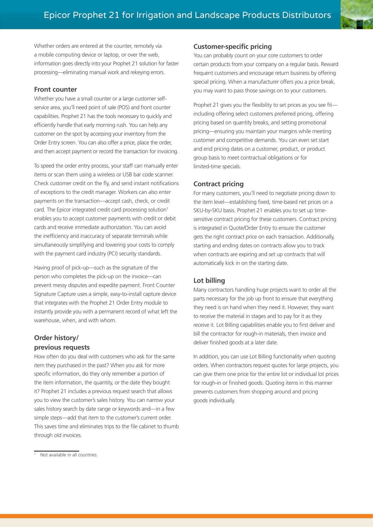Whether orders are entered at the counter, remotely via a mobile computing device or laptop, or over the web, information goes directly into your Prophet 21 solution for faster processing—eliminating manual work and rekeying errors.

## **Front counter**

Whether you have a small counter or a large customer selfservice area, you'll need point of sale (POS) and front counter capabilities. Prophet 21 has the tools necessary to quickly and efficiently handle that early morning rush. You can help any customer on the spot by accessing your inventory from the Order Entry screen. You can also offer a price, place the order, and then accept payment or record the transaction for invoicing.

To speed the order entry process, your staff can manually enter items or scan them using a wireless or USB bar code scanner. Check customer credit on the fly, and send instant notifications of exceptions to the credit manager. Workers can also enter payments on the transaction—accept cash, check, or credit card. The Epicor integrated credit card processing solution<sup>1</sup> enables you to accept customer payments with credit or debit cards and receive immediate authorization. You can avoid the inefficiency and inaccuracy of separate terminals while simultaneously simplifying and lowering your costs to comply with the payment card industry (PCI) security standards.

Having proof of pick-up—such as the signature of the person who completes the pick-up on the invoice—can prevent messy disputes and expedite payment. Front Counter Signature Capture uses a simple, easy-to-install capture device that integrates with the Prophet 21 Order Entry module to instantly provide you with a permanent record of what left the warehouse, when, and with whom.

# **Order history/ previous requests**

How often do you deal with customers who ask for the same item they purchased in the past? When you ask for more specific information, do they only remember a portion of the item information, the quantity, or the date they bought it? Prophet 21 includes a previous request search that allows you to view the customer's sales history. You can narrow your sales history search by date range or keywords and—in a few simple steps—add that item to the customer's current order. This saves time and eliminates trips to the file cabinet to thumb through old invoices.

## **Customer-specific pricing**

You can probably count on your core customers to order certain products from your company on a regular basis. Reward frequent customers and encourage return business by offering special pricing. When a manufacturer offers you a price break, you may want to pass those savings on to your customers.

Prophet 21 gives you the flexibility to set prices as you see fit including offering select customers preferred pricing, offering pricing based on quantity breaks, and setting promotional pricing—ensuring you maintain your margins while meeting customer and competitive demands. You can even set start and end pricing dates on a customer, product, or product group basis to meet contractual obligations or for limited-time specials.

# **Contract pricing**

For many customers, you'll need to negotiate pricing down to the item level—establishing fixed, time-based net prices on a SKU-by-SKU basis. Prophet 21 enables you to set up timesensitive contract pricing for these customers. Contract pricing is integrated in Quote/Order Entry to ensure the customer gets the right contract price on each transaction. Additionally, starting and ending dates on contracts allow you to track when contracts are expiring and set up contracts that will automatically kick in on the starting date.

# **Lot billing**

Many contractors handling huge projects want to order all the parts necessary for the job up front to ensure that everything they need is on hand when they need it. However, they want to receive the material in stages and to pay for it as they receive it. Lot Billing capabilities enable you to first deliver and bill the contractor for rough-in materials, then invoice and deliver finished goods at a later date.

In addition, you can use Lot Billing functionality when quoting orders. When contractors request quotes for large projects, you can give them one price for the entire lot or individual lot prices for rough-in or finished goods. Quoting items in this manner prevents customers from shopping around and pricing goods individually.

<sup>&</sup>lt;sup>1</sup> Not available in all countries.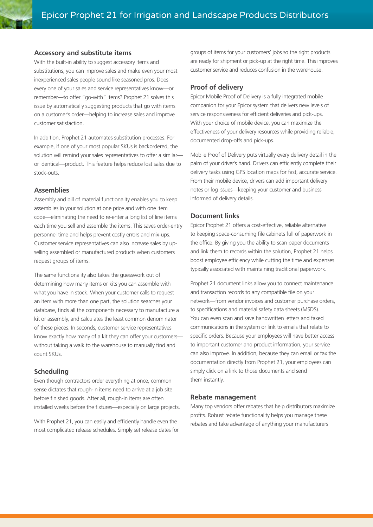## **Accessory and substitute items**

With the built-in ability to suggest accessory items and substitutions, you can improve sales and make even your most inexperienced sales people sound like seasoned pros. Does every one of your sales and service representatives know—or remember—to offer "go-with" items? Prophet 21 solves this issue by automatically suggesting products that go with items on a customer's order—helping to increase sales and improve customer satisfaction.

In addition, Prophet 21 automates substitution processes. For example, if one of your most popular SKUs is backordered, the solution will remind your sales representatives to offer a similar or identical—product. This feature helps reduce lost sales due to stock-outs.

#### **Assemblies**

Assembly and bill of material functionality enables you to keep assemblies in your solution at one price and with one item code—eliminating the need to re-enter a long list of line items each time you sell and assemble the items. This saves order-entry personnel time and helps prevent costly errors and mix-ups. Customer service representatives can also increase sales by upselling assembled or manufactured products when customers request groups of items.

The same functionality also takes the guesswork out of determining how many items or kits you can assemble with what you have in stock. When your customer calls to request an item with more than one part, the solution searches your database, finds all the components necessary to manufacture a kit or assembly, and calculates the least common denominator of these pieces. In seconds, customer service representatives know exactly how many of a kit they can offer your customers without taking a walk to the warehouse to manually find and count SKUs.

#### **Scheduling**

Even though contractors order everything at once, common sense dictates that rough-in items need to arrive at a job site before finished goods. After all, rough-in items are often installed weeks before the fixtures—especially on large projects.

With Prophet 21, you can easily and efficiently handle even the most complicated release schedules. Simply set release dates for groups of items for your customers' jobs so the right products are ready for shipment or pick-up at the right time. This improves customer service and reduces confusion in the warehouse.

#### **Proof of delivery**

Epicor Mobile Proof of Delivery is a fully integrated mobile companion for your Epicor system that delivers new levels of service responsiveness for efficient deliveries and pick-ups. With your choice of mobile device, you can maximize the effectiveness of your delivery resources while providing reliable, documented drop-offs and pick-ups.

Mobile Proof of Delivery puts virtually every delivery detail in the palm of your driver's hand. Drivers can efficiently complete their delivery tasks using GPS location maps for fast, accurate service. From their mobile device, drivers can add important delivery notes or log issues—keeping your customer and business informed of delivery details.

#### **Document links**

Epicor Prophet 21 offers a cost-effective, reliable alternative to keeping space-consuming file cabinets full of paperwork in the office. By giving you the ability to scan paper documents and link them to records within the solution, Prophet 21 helps boost employee efficiency while cutting the time and expenses typically associated with maintaining traditional paperwork.

Prophet 21 document links allow you to connect maintenance and transaction records to any compatible file on your network—from vendor invoices and customer purchase orders, to specifications and material safety data sheets (MSDS). You can even scan and save handwritten letters and faxed communications in the system or link to emails that relate to specific orders. Because your employees will have better access to important customer and product information, your service can also improve. In addition, because they can email or fax the documentation directly from Prophet 21, your employees can simply click on a link to those documents and send them instantly.

#### **Rebate management**

Many top vendors offer rebates that help distributors maximize profits. Robust rebate functionality helps you manage these rebates and take advantage of anything your manufacturers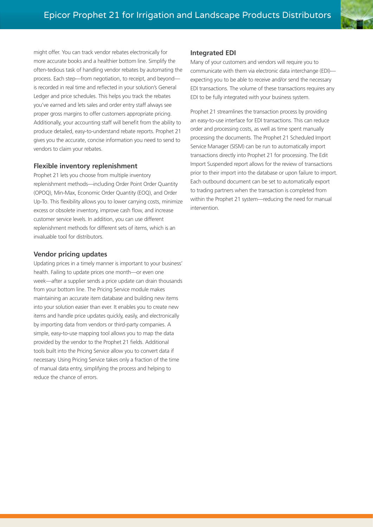might offer. You can track vendor rebates electronically for more accurate books and a healthier bottom line. Simplify the often-tedious task of handling vendor rebates by automating the process. Each step—from negotiation, to receipt, and beyond is recorded in real time and reflected in your solution's General Ledger and price schedules. This helps you track the rebates you've earned and lets sales and order entry staff always see proper gross margins to offer customers appropriate pricing. Additionally, your accounting staff will benefit from the ability to produce detailed, easy-to-understand rebate reports. Prophet 21 gives you the accurate, concise information you need to send to vendors to claim your rebates.

## **Flexible inventory replenishment**

Prophet 21 lets you choose from multiple inventory replenishment methods—including Order Point Order Quantity (OPOQ), Min-Max, Economic Order Quantity (EOQ), and Order Up-To. This flexibility allows you to lower carrying costs, minimize excess or obsolete inventory, improve cash flow, and increase customer service levels. In addition, you can use different replenishment methods for different sets of items, which is an invaluable tool for distributors.

## **Vendor pricing updates**

Updating prices in a timely manner is important to your business' health. Failing to update prices one month—or even one week—after a supplier sends a price update can drain thousands from your bottom line. The Pricing Service module makes maintaining an accurate item database and building new items into your solution easier than ever. It enables you to create new items and handle price updates quickly, easily, and electronically by importing data from vendors or third-party companies. A simple, easy-to-use mapping tool allows you to map the data provided by the vendor to the Prophet 21 fields. Additional tools built into the Pricing Service allow you to convert data if necessary. Using Pricing Service takes only a fraction of the time of manual data entry, simplifying the process and helping to reduce the chance of errors.

#### **Integrated EDI**

Many of your customers and vendors will require you to communicate with them via electronic data interchange (EDI) expecting you to be able to receive and/or send the necessary EDI transactions. The volume of these transactions requires any EDI to be fully integrated with your business system.

Prophet 21 streamlines the transaction process by providing an easy-to-use interface for EDI transactions. This can reduce order and processing costs, as well as time spent manually processing the documents. The Prophet 21 Scheduled Import Service Manager (SISM) can be run to automatically import transactions directly into Prophet 21 for processing. The Edit Import Suspended report allows for the review of transactions prior to their import into the database or upon failure to import. Each outbound document can be set to automatically export to trading partners when the transaction is completed from within the Prophet 21 system—reducing the need for manual intervention.